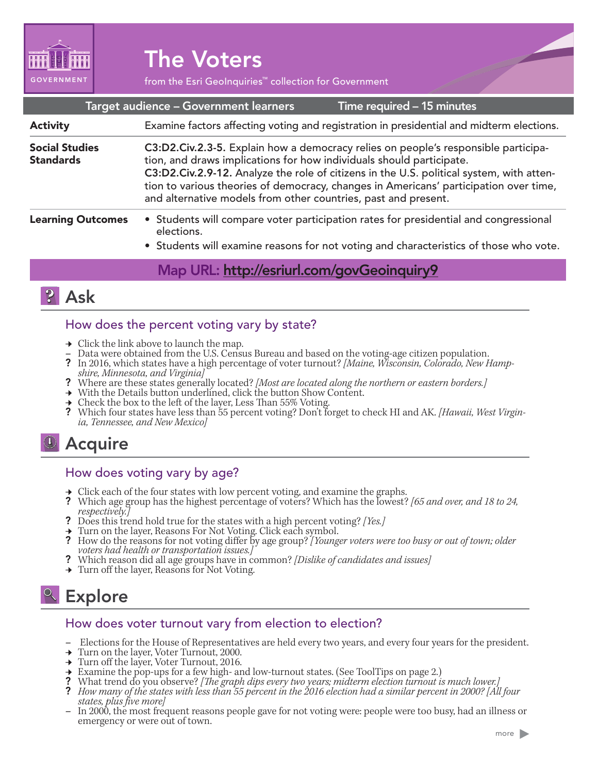

# The Voters

from the Esri GeoInquiries™ collection for Government

| Target audience - Government learners<br>Time required - 15 minutes |                                                                                                                                                                                                                                                                                                                                                                                                                   |
|---------------------------------------------------------------------|-------------------------------------------------------------------------------------------------------------------------------------------------------------------------------------------------------------------------------------------------------------------------------------------------------------------------------------------------------------------------------------------------------------------|
| <b>Activity</b>                                                     | Examine factors affecting voting and registration in presidential and midterm elections.                                                                                                                                                                                                                                                                                                                          |
| <b>Social Studies</b><br><b>Standards</b>                           | C3:D2.Civ.2.3-5. Explain how a democracy relies on people's responsible participa-<br>tion, and draws implications for how individuals should participate.<br>C3:D2.Civ.2.9-12. Analyze the role of citizens in the U.S. political system, with atten-<br>tion to various theories of democracy, changes in Americans' participation over time,<br>and alternative models from other countries, past and present. |
| <b>Learning Outcomes</b>                                            | • Students will compare voter participation rates for presidential and congressional<br>elections.<br>• Students will examine reasons for not voting and characteristics of those who vote.                                                                                                                                                                                                                       |
|                                                                     |                                                                                                                                                                                                                                                                                                                                                                                                                   |

#### <u>IVIap URL: http://esriuri.com/govGeoinquiry9</u>



#### How does the percent voting vary by state?

- 
- 
- → Click the link above to launch the map.<br>
 Data were obtained from the U.S. Census Bureau and based on the voting-age citizen population.<br>
? In 2016, which states have a high percentage of voter turnout? [Maine, Wiscons
- 
- → With the Details button underlined, click the button Show Content.<br>→ Check the box to the left of the layer, Less Than 55% Voting.
- 
- Which four states have less than 55 percent voting? Don't forget to check HI and AK. *[Hawaii, West Virgin- ia, Tennessee, and New Mexico]*

## Acquire

#### How does voting vary by age?

- 
- <sup>ʅ</sup> Click each of the four states with low percent voting, and examine the graphs. ? Which age group has the highest percentage of voters? Which has the lowest? *[65 and over, and 18 to 24,*
- ? Does this trend hold true for the states with a high percent voting? *[Yes.]* → Turn on the layer, Reasons For Not Voting. Click each symbol.
- 
- → Turn on the layer, Reasons For Not voting. Click each symbol.<br>
2 How do the reasons for not voting differ by age group? [Younger voters were too busy or out of town; older<br>
2 Which reason did all age groups have in comm
- 
- → Turn off the layer, Reasons for Not Voting.

# **& Explore**

#### How does voter turnout vary from election to election?

- **–** Elections for the House of Representatives are held every two years, and every four years for the president.
- **→** Turn on the layer, Voter Turnout, 2000.
- 
- → Turn off the layer, Voter Turnout, 2016.<br>→ Examine the pop-ups for a few high- and low-turnout states. (See ToolTips on page 2.)
- 
- What trend do you observe? [The graph dips every two years; midterm election furnout is much lower.]<br>How many of the states with less than 55 percent in the 2016 election had a similar percent in 2000? [All four<br>states, pl
- *states, plus five more]* **–** In 2000, the most frequent reasons people gave for not voting were: people were too busy, had an illness or emergency or were out of town.